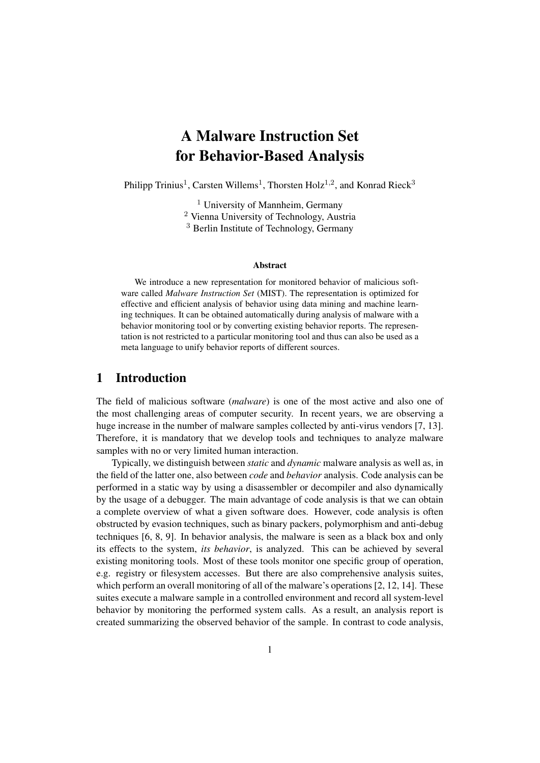# A Malware Instruction Set for Behavior-Based Analysis

Philipp Trinius<sup>1</sup>, Carsten Willems<sup>1</sup>, Thorsten Holz<sup>1,2</sup>, and Konrad Rieck<sup>3</sup>

<sup>1</sup> University of Mannheim, Germany <sup>2</sup> Vienna University of Technology, Austria <sup>3</sup> Berlin Institute of Technology, Germany

#### Abstract

We introduce a new representation for monitored behavior of malicious software called *Malware Instruction Set* (MIST). The representation is optimized for effective and efficient analysis of behavior using data mining and machine learning techniques. It can be obtained automatically during analysis of malware with a behavior monitoring tool or by converting existing behavior reports. The representation is not restricted to a particular monitoring tool and thus can also be used as a meta language to unify behavior reports of different sources.

# 1 Introduction

The field of malicious software (*malware*) is one of the most active and also one of the most challenging areas of computer security. In recent years, we are observing a huge increase in the number of malware samples collected by anti-virus vendors [7, 13]. Therefore, it is mandatory that we develop tools and techniques to analyze malware samples with no or very limited human interaction.

Typically, we distinguish between *static* and *dynamic* malware analysis as well as, in the field of the latter one, also between *code* and *behavior* analysis. Code analysis can be performed in a static way by using a disassembler or decompiler and also dynamically by the usage of a debugger. The main advantage of code analysis is that we can obtain a complete overview of what a given software does. However, code analysis is often obstructed by evasion techniques, such as binary packers, polymorphism and anti-debug techniques [6, 8, 9]. In behavior analysis, the malware is seen as a black box and only its effects to the system, *its behavior*, is analyzed. This can be achieved by several existing monitoring tools. Most of these tools monitor one specific group of operation, e.g. registry or filesystem accesses. But there are also comprehensive analysis suites, which perform an overall monitoring of all of the malware's operations [2, 12, 14]. These suites execute a malware sample in a controlled environment and record all system-level behavior by monitoring the performed system calls. As a result, an analysis report is created summarizing the observed behavior of the sample. In contrast to code analysis,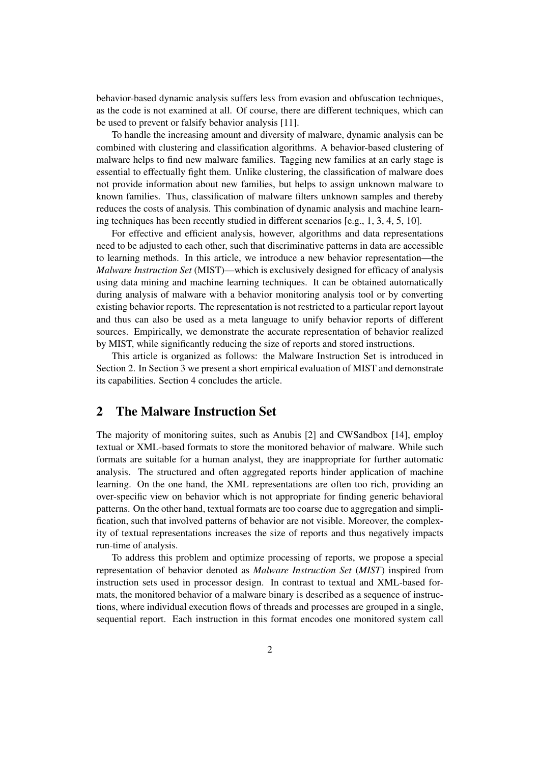behavior-based dynamic analysis suffers less from evasion and obfuscation techniques, as the code is not examined at all. Of course, there are different techniques, which can be used to prevent or falsify behavior analysis [11].

To handle the increasing amount and diversity of malware, dynamic analysis can be combined with clustering and classification algorithms. A behavior-based clustering of malware helps to find new malware families. Tagging new families at an early stage is essential to effectually fight them. Unlike clustering, the classification of malware does not provide information about new families, but helps to assign unknown malware to known families. Thus, classification of malware filters unknown samples and thereby reduces the costs of analysis. This combination of dynamic analysis and machine learning techniques has been recently studied in different scenarios [e.g., 1, 3, 4, 5, 10].

For effective and efficient analysis, however, algorithms and data representations need to be adjusted to each other, such that discriminative patterns in data are accessible to learning methods. In this article, we introduce a new behavior representation—the *Malware Instruction Set* (MIST)—which is exclusively designed for efficacy of analysis using data mining and machine learning techniques. It can be obtained automatically during analysis of malware with a behavior monitoring analysis tool or by converting existing behavior reports. The representation is not restricted to a particular report layout and thus can also be used as a meta language to unify behavior reports of different sources. Empirically, we demonstrate the accurate representation of behavior realized by MIST, while significantly reducing the size of reports and stored instructions.

This article is organized as follows: the Malware Instruction Set is introduced in Section 2. In Section 3 we present a short empirical evaluation of MIST and demonstrate its capabilities. Section 4 concludes the article.

# 2 The Malware Instruction Set

The majority of monitoring suites, such as Anubis [2] and CWSandbox [14], employ textual or XML-based formats to store the monitored behavior of malware. While such formats are suitable for a human analyst, they are inappropriate for further automatic analysis. The structured and often aggregated reports hinder application of machine learning. On the one hand, the XML representations are often too rich, providing an over-specific view on behavior which is not appropriate for finding generic behavioral patterns. On the other hand, textual formats are too coarse due to aggregation and simplification, such that involved patterns of behavior are not visible. Moreover, the complexity of textual representations increases the size of reports and thus negatively impacts run-time of analysis.

To address this problem and optimize processing of reports, we propose a special representation of behavior denoted as *Malware Instruction Set* (*MIST*) inspired from instruction sets used in processor design. In contrast to textual and XML-based formats, the monitored behavior of a malware binary is described as a sequence of instructions, where individual execution flows of threads and processes are grouped in a single, sequential report. Each instruction in this format encodes one monitored system call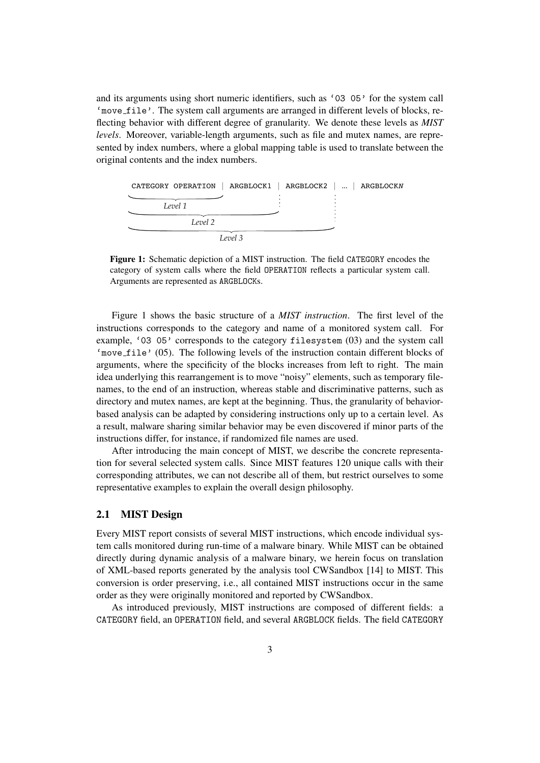and its arguments using short numeric identifiers, such as '03 05' for the system call 'move file'. The system call arguments are arranged in different levels of blocks, reflecting behavior with different degree of granularity. We denote these levels as *MIST levels*. Moreover, variable-length arguments, such as file and mutex names, are represented by index numbers, where a global mapping table is used to translate between the original contents and the index numbers.



Figure 1: Schematic depiction of a MIST instruction. The field CATEGORY encodes the category of system calls where the field OPERATION reflects a particular system call. Arguments are represented as ARGBLOCKs.

Figure 1 shows the basic structure of a *MIST instruction*. The first level of the instructions corresponds to the category and name of a monitored system call. For example, '03 05' corresponds to the category filesystem (03) and the system call 'move file' (05). The following levels of the instruction contain different blocks of arguments, where the specificity of the blocks increases from left to right. The main idea underlying this rearrangement is to move "noisy" elements, such as temporary filenames, to the end of an instruction, whereas stable and discriminative patterns, such as directory and mutex names, are kept at the beginning. Thus, the granularity of behaviorbased analysis can be adapted by considering instructions only up to a certain level. As a result, malware sharing similar behavior may be even discovered if minor parts of the instructions differ, for instance, if randomized file names are used.

After introducing the main concept of MIST, we describe the concrete representation for several selected system calls. Since MIST features 120 unique calls with their corresponding attributes, we can not describe all of them, but restrict ourselves to some representative examples to explain the overall design philosophy.

#### 2.1 MIST Design

Every MIST report consists of several MIST instructions, which encode individual system calls monitored during run-time of a malware binary. While MIST can be obtained directly during dynamic analysis of a malware binary, we herein focus on translation of XML-based reports generated by the analysis tool CWSandbox [14] to MIST. This conversion is order preserving, i.e., all contained MIST instructions occur in the same order as they were originally monitored and reported by CWSandbox.

As introduced previously, MIST instructions are composed of different fields: a CATEGORY field, an OPERATION field, and several ARGBLOCK fields. The field CATEGORY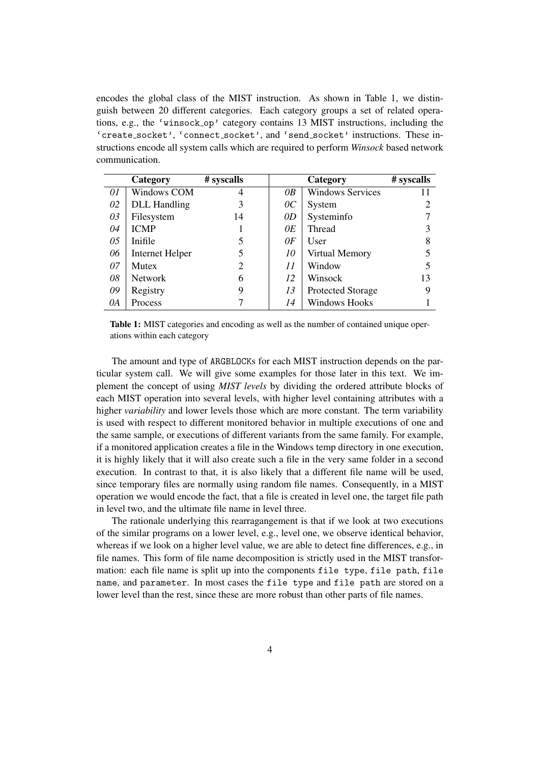encodes the global class of the MIST instruction. As shown in Table 1, we distinguish between 20 different categories. Each category groups a set of related operations, e.g., the 'winsock op' category contains 13 MIST instructions, including the 'create socket', 'connect socket', and 'send socket' instructions. These instructions encode all system calls which are required to perform *Winsock* based network communication.

|    | Category               | # syscalls     |                 | Category                | # syscalls |
|----|------------------------|----------------|-----------------|-------------------------|------------|
| 01 | <b>Windows COM</b>     | 4              | 0B              | <b>Windows Services</b> | 11         |
| 02 | <b>DLL</b> Handling    | 3              | $\overline{0}C$ | System                  |            |
| 03 | Filesystem             | 14             | 0D              | Systeminfo              |            |
| 04 | <b>ICMP</b>            |                | 0E              | <b>Thread</b>           |            |
| 05 | Inifile                | 5              | 0 F             | User                    | 8          |
| 06 | <b>Internet Helper</b> | 5              | 10              | Virtual Memory          |            |
| 07 | <b>Mutex</b>           | $\overline{2}$ | 11              | Window                  |            |
| 08 | <b>Network</b>         | 6              | 12              | Winsock                 | 13         |
| 09 | Registry               | 9              | 13              | Protected Storage       | 9          |
| 0A | Process                | $\mathbf{r}$   | 14              | <b>Windows Hooks</b>    |            |

Table 1: MIST categories and encoding as well as the number of contained unique operations within each category

The amount and type of ARGBLOCKs for each MIST instruction depends on the particular system call. We will give some examples for those later in this text. We implement the concept of using *MIST levels* by dividing the ordered attribute blocks of each MIST operation into several levels, with higher level containing attributes with a higher *variability* and lower levels those which are more constant. The term variability is used with respect to different monitored behavior in multiple executions of one and the same sample, or executions of different variants from the same family. For example, if a monitored application creates a file in the Windows temp directory in one execution, it is highly likely that it will also create such a file in the very same folder in a second execution. In contrast to that, it is also likely that a different file name will be used, since temporary files are normally using random file names. Consequently, in a MIST operation we would encode the fact, that a file is created in level one, the target file path in level two, and the ultimate file name in level three.

The rationale underlying this rearragangement is that if we look at two executions of the similar programs on a lower level, e.g., level one, we observe identical behavior, whereas if we look on a higher level value, we are able to detect fine differences, e.g., in file names. This form of file name decomposition is strictly used in the MIST transformation: each file name is split up into the components file type, file path, file name, and parameter. In most cases the file type and file path are stored on a lower level than the rest, since these are more robust than other parts of file names.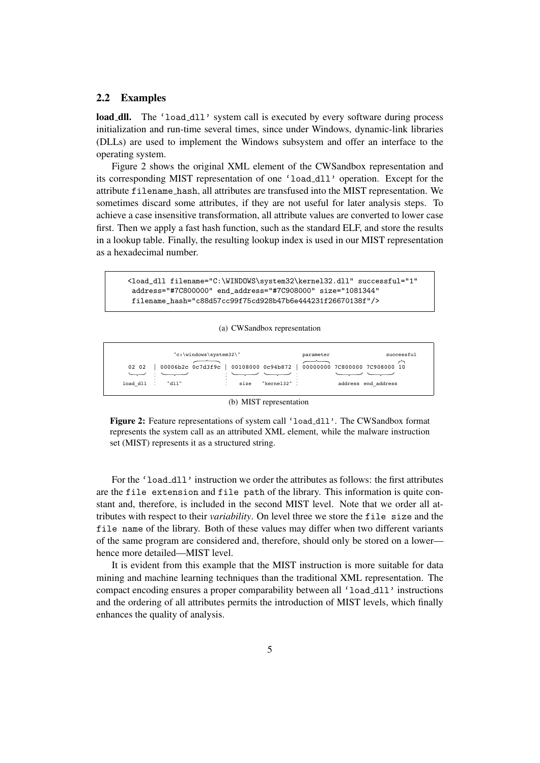#### 2.2 Examples

load dll. The 'load dll' system call is executed by every software during process initialization and run-time several times, since under Windows, dynamic-link libraries (DLLs) are used to implement the Windows subsystem and offer an interface to the operating system.

Figure 2 shows the original XML element of the CWSandbox representation and its corresponding MIST representation of one 'load dll' operation. Except for the attribute filename hash, all attributes are transfused into the MIST representation. We sometimes discard some attributes, if they are not useful for later analysis steps. To achieve a case insensitive transformation, all attribute values are converted to lower case first. Then we apply a fast hash function, such as the standard ELF, and store the results in a lookup table. Finally, the resulting lookup index is used in our MIST representation as a hexadecimal number.

```
<load_dll filename="C:\WINDOWS\system32\kernel32.dll" successful="1"
address="#7C800000" end_address="#7C908000" size="1081344"
filename_hash="c88d57cc99f75cd928b47b6e444231f26670138f"/>
```
#### (a) CWSandbox representation



(b) MIST representation

Figure 2: Feature representations of system call 'load\_dll'. The CWSandbox format represents the system call as an attributed XML element, while the malware instruction set (MIST) represents it as a structured string.

For the 'load dll' instruction we order the attributes as follows: the first attributes are the file extension and file path of the library. This information is quite constant and, therefore, is included in the second MIST level. Note that we order all attributes with respect to their *variability*. On level three we store the file size and the file name of the library. Both of these values may differ when two different variants of the same program are considered and, therefore, should only be stored on a lower hence more detailed—MIST level.

It is evident from this example that the MIST instruction is more suitable for data mining and machine learning techniques than the traditional XML representation. The compact encoding ensures a proper comparability between all 'load\_dll' instructions and the ordering of all attributes permits the introduction of MIST levels, which finally enhances the quality of analysis.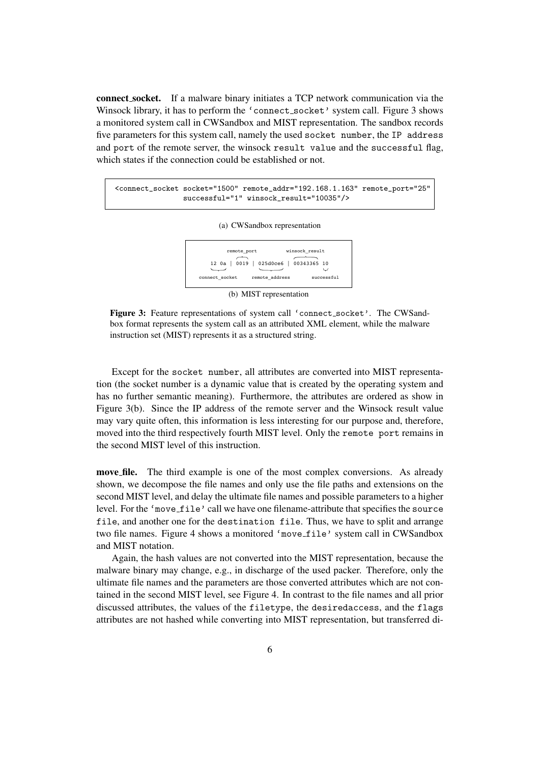connect socket. If a malware binary initiates a TCP network communication via the Winsock library, it has to perform the 'connect socket' system call. Figure 3 shows a monitored system call in CWSandbox and MIST representation. The sandbox records five parameters for this system call, namely the used socket number, the IP address and port of the remote server, the winsock result value and the successful flag, which states if the connection could be established or not.

<connect\_socket socket="1500" remote\_addr="192.168.1.163" remote\_port="25" successful="1" winsock\_result="10035"/>





(b) MIST representation

Figure 3: Feature representations of system call 'connect\_socket'. The CWSandbox format represents the system call as an attributed XML element, while the malware instruction set (MIST) represents it as a structured string.

Except for the socket number, all attributes are converted into MIST representation (the socket number is a dynamic value that is created by the operating system and has no further semantic meaning). Furthermore, the attributes are ordered as show in Figure 3(b). Since the IP address of the remote server and the Winsock result value may vary quite often, this information is less interesting for our purpose and, therefore, moved into the third respectively fourth MIST level. Only the remote port remains in the second MIST level of this instruction.

move file. The third example is one of the most complex conversions. As already shown, we decompose the file names and only use the file paths and extensions on the second MIST level, and delay the ultimate file names and possible parameters to a higher level. For the 'move file' call we have one filename-attribute that specifies the source file, and another one for the destination file. Thus, we have to split and arrange two file names. Figure 4 shows a monitored 'move file' system call in CWSandbox and MIST notation.

Again, the hash values are not converted into the MIST representation, because the malware binary may change, e.g., in discharge of the used packer. Therefore, only the ultimate file names and the parameters are those converted attributes which are not contained in the second MIST level, see Figure 4. In contrast to the file names and all prior discussed attributes, the values of the filetype, the desiredaccess, and the flags attributes are not hashed while converting into MIST representation, but transferred di-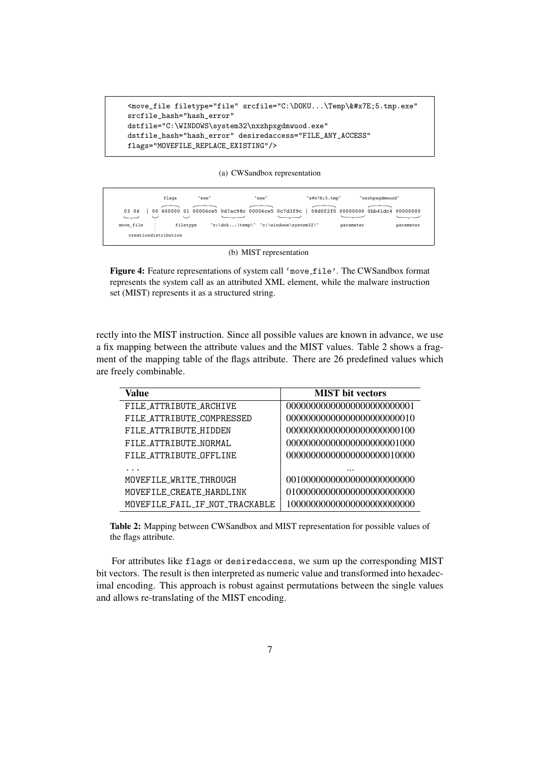```
<move_file filetype="file" srcfile="C:\DOKU...\Temp\&#x7E;5.tmp.exe"
srcfile_hash="hash_error"
dstfile="C:\WINDOWS\system32\nxzhpxgdmwuod.exe"
dstfile_hash="hash_error" desiredaccess="FILE_ANY_ACCESS"
flags="MOVEFILE_REPLACE_EXISTING"/>
```
(a) CWSandbox representation



(b) MIST representation

Figure 4: Feature representations of system call 'move\_file'. The CWSandbox format represents the system call as an attributed XML element, while the malware instruction set (MIST) represents it as a structured string.

rectly into the MIST instruction. Since all possible values are known in advance, we use a fix mapping between the attribute values and the MIST values. Table 2 shows a fragment of the mapping table of the flags attribute. There are 26 predefined values which are freely combinable.

| Value                          | <b>MIST</b> bit vectors     |
|--------------------------------|-----------------------------|
| FILE ATTRIBUTE ARCHIVE         |                             |
| FILE ATTRIBUTE COMPRESSED      | 00000000000000000000000010  |
| FILE ATTRIBUTE_HIDDEN          |                             |
| FILE ATTRIBUTE NORMAL          |                             |
| FILE ATTRIBUTE OFFLINE         | 00000000000000000000010000  |
|                                |                             |
| MOVEFILE WRITE THROUGH         | 001000000000000000000000000 |
| MOVEFILE_CREATE_HARDLINK       |                             |
| MOVEFILE FAIL IF NOT TRACKABLE |                             |

Table 2: Mapping between CWSandbox and MIST representation for possible values of the flags attribute.

For attributes like flags or desiredaccess, we sum up the corresponding MIST bit vectors. The result is then interpreted as numeric value and transformed into hexadecimal encoding. This approach is robust against permutations between the single values and allows re-translating of the MIST encoding.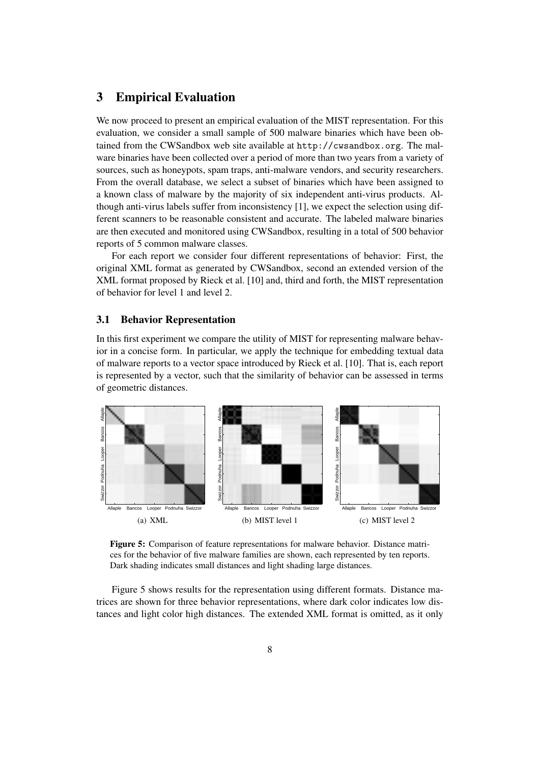# 3 Empirical Evaluation

We now proceed to present an empirical evaluation of the MIST representation. For this evaluation, we consider a small sample of 500 malware binaries which have been obtained from the CWSandbox web site available at http://cwsandbox.org. The malware binaries have been collected over a period of more than two years from a variety of sources, such as honeypots, spam traps, anti-malware vendors, and security researchers. From the overall database, we select a subset of binaries which have been assigned to a known class of malware by the majority of six independent anti-virus products. Although anti-virus labels suffer from inconsistency [1], we expect the selection using different scanners to be reasonable consistent and accurate. The labeled malware binaries are then executed and monitored using CWSandbox, resulting in a total of 500 behavior reports of 5 common malware classes.

For each report we consider four different representations of behavior: First, the original XML format as generated by CWSandbox, second an extended version of the XML format proposed by Rieck et al. [10] and, third and forth, the MIST representation of behavior for level 1 and level 2.

#### 3.1 Behavior Representation

In this first experiment we compare the utility of MIST for representing malware behavior in a concise form. In particular, we apply the technique for embedding textual data of malware reports to a vector space introduced by Rieck et al. [10]. That is, each report is represented by a vector, such that the similarity of behavior can be assessed in terms of geometric distances.



Figure 5: Comparison of feature representations for malware behavior. Distance matrices for the behavior of five malware families are shown, each represented by ten reports. Dark shading indicates small distances and light shading large distances.

Figure 5 shows results for the representation using different formats. Distance matrices are shown for three behavior representations, where dark color indicates low distances and light color high distances. The extended XML format is omitted, as it only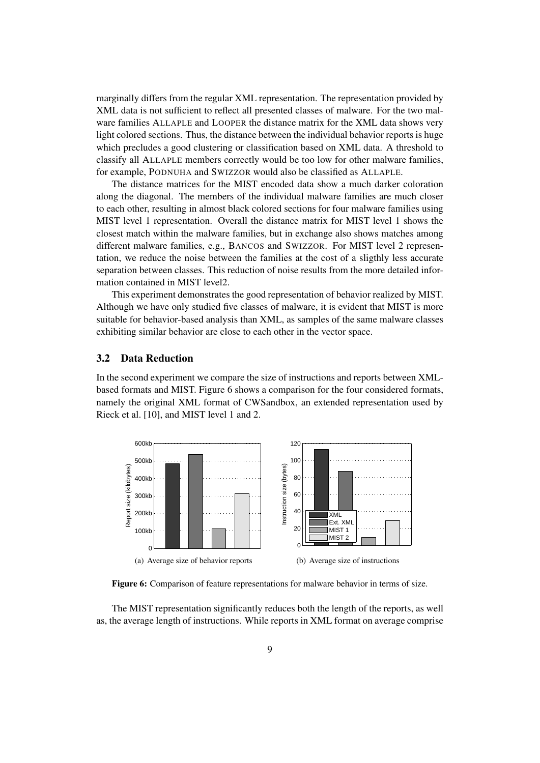marginally differs from the regular XML representation. The representation provided by XML data is not sufficient to reflect all presented classes of malware. For the two malware families ALLAPLE and LOOPER the distance matrix for the XML data shows very light colored sections. Thus, the distance between the individual behavior reports is huge which precludes a good clustering or classification based on XML data. A threshold to classify all ALLAPLE members correctly would be too low for other malware families, for example, PODNUHA and SWIZZOR would also be classified as ALLAPLE.

The distance matrices for the MIST encoded data show a much darker coloration along the diagonal. The members of the individual malware families are much closer to each other, resulting in almost black colored sections for four malware families using MIST level 1 representation. Overall the distance matrix for MIST level 1 shows the closest match within the malware families, but in exchange also shows matches among different malware families, e.g., BANCOS and SWIZZOR. For MIST level 2 representation, we reduce the noise between the families at the cost of a sligthly less accurate separation between classes. This reduction of noise results from the more detailed information contained in MIST level2.

This experiment demonstrates the good representation of behavior realized by MIST. Although we have only studied five classes of malware, it is evident that MIST is more suitable for behavior-based analysis than XML, as samples of the same malware classes exhibiting similar behavior are close to each other in the vector space.

#### 3.2 Data Reduction

In the second experiment we compare the size of instructions and reports between XMLbased formats and MIST. Figure 6 shows a comparison for the four considered formats, namely the original XML format of CWSandbox, an extended representation used by Rieck et al. [10], and MIST level 1 and 2.



Figure 6: Comparison of feature representations for malware behavior in terms of size.

The MIST representation significantly reduces both the length of the reports, as well as, the average length of instructions. While reports in XML format on average comprise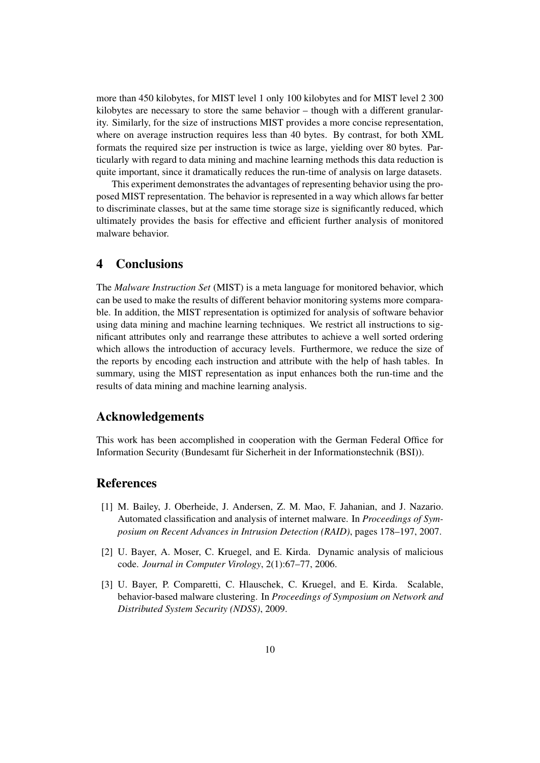more than 450 kilobytes, for MIST level 1 only 100 kilobytes and for MIST level 2 300 kilobytes are necessary to store the same behavior – though with a different granularity. Similarly, for the size of instructions MIST provides a more concise representation, where on average instruction requires less than 40 bytes. By contrast, for both XML formats the required size per instruction is twice as large, yielding over 80 bytes. Particularly with regard to data mining and machine learning methods this data reduction is quite important, since it dramatically reduces the run-time of analysis on large datasets.

This experiment demonstrates the advantages of representing behavior using the proposed MIST representation. The behavior is represented in a way which allows far better to discriminate classes, but at the same time storage size is significantly reduced, which ultimately provides the basis for effective and efficient further analysis of monitored malware behavior.

# 4 Conclusions

The *Malware Instruction Set* (MIST) is a meta language for monitored behavior, which can be used to make the results of different behavior monitoring systems more comparable. In addition, the MIST representation is optimized for analysis of software behavior using data mining and machine learning techniques. We restrict all instructions to significant attributes only and rearrange these attributes to achieve a well sorted ordering which allows the introduction of accuracy levels. Furthermore, we reduce the size of the reports by encoding each instruction and attribute with the help of hash tables. In summary, using the MIST representation as input enhances both the run-time and the results of data mining and machine learning analysis.

### Acknowledgements

This work has been accomplished in cooperation with the German Federal Office for Information Security (Bundesamt für Sicherheit in der Informationstechnik (BSI)).

### References

- [1] M. Bailey, J. Oberheide, J. Andersen, Z. M. Mao, F. Jahanian, and J. Nazario. Automated classification and analysis of internet malware. In *Proceedings of Symposium on Recent Advances in Intrusion Detection (RAID)*, pages 178–197, 2007.
- [2] U. Bayer, A. Moser, C. Kruegel, and E. Kirda. Dynamic analysis of malicious code. *Journal in Computer Virology*, 2(1):67–77, 2006.
- [3] U. Bayer, P. Comparetti, C. Hlauschek, C. Kruegel, and E. Kirda. Scalable, behavior-based malware clustering. In *Proceedings of Symposium on Network and Distributed System Security (NDSS)*, 2009.